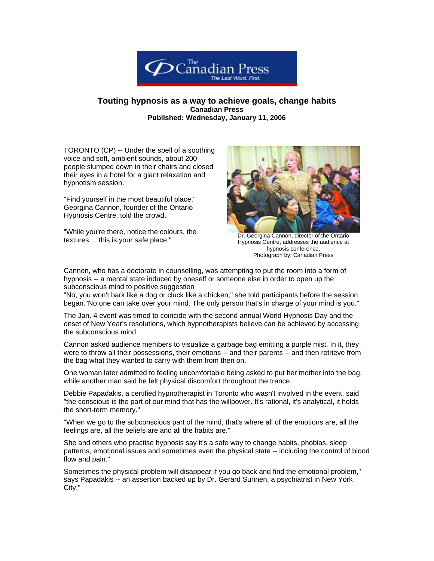

## **Touting hypnosis as a way to achieve goals, change habits Canadian Press Published: Wednesday, January 11, 2006**

TORONTO (CP) -- Under the spell of a soothing voice and soft, ambient sounds, about 200 people slumped down in their chairs and closed their eyes in a hotel for a giant relaxation and hypnotism session.

"Find yourself in the most beautiful place," Georgina Cannon, founder of the Ontario Hypnosis Centre, told the crowd.

"While you're there, notice the colours, the The youte there, honce the colours, the correlation of the Ontario Dr. Georgina Cannon, director of the Ontario<br>Hypnosis Centre addresses the audience at



Hypnosis Centre, addresses the audience at hypnosis conference. Photograph by: Canadian Press

Cannon, who has a doctorate in counselling, was attempting to put the room into a form of hypnosis -- a mental state induced by oneself or someone else in order to open up the subconscious mind to positive suggestion

"No, you won't bark like a dog or cluck like a chicken," she told participants before the session began."No one can take over your mind. The only person that's in charge of your mind is you."

The Jan. 4 event was timed to coincide with the second annual World Hypnosis Day and the onset of New Year's resolutions, which hypnotherapists believe can be achieved by accessing the subconscious mind.

Cannon asked audience members to visualize a garbage bag emitting a purple mist. In it, they were to throw all their possessions, their emotions -- and their parents -- and then retrieve from the bag what they wanted to carry with them from then on.

One woman later admitted to feeling uncomfortable being asked to put her mother into the bag, while another man said he felt physical discomfort throughout the trance.

Debbie Papadakis, a certified hypnotherapist in Toronto who wasn't involved in the event, said "the conscious is the part of our mind that has the willpower. It's rational, it's analytical, it holds the short-term memory."

"When we go to the subconscious part of the mind, that's where all of the emotions are, all the feelings are, all the beliefs are and all the habits are."

She and others who practise hypnosis say it's a safe way to change habits, phobias, sleep patterns, emotional issues and sometimes even the physical state -- including the control of blood flow and pain."

Sometimes the physical problem will disappear if you go back and find the emotional problem," says Papadakis -- an assertion backed up by Dr. Gerard Sunnen, a psychiatrist in New York City."